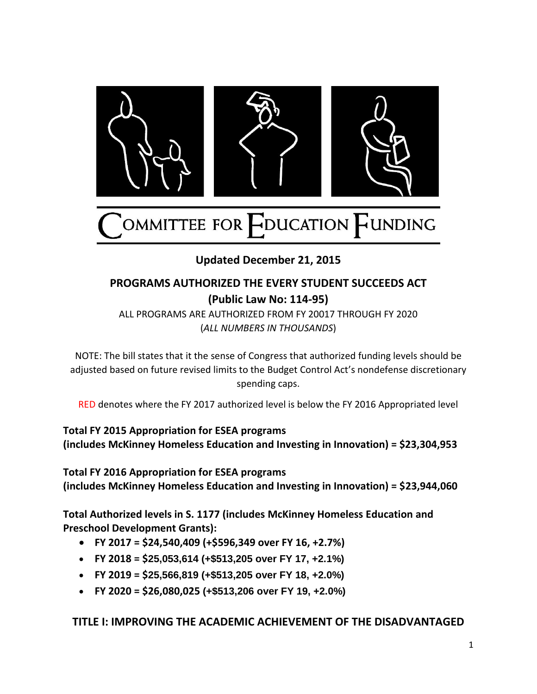

**Updated December 21, 2015**

# **PROGRAMS AUTHORIZED THE EVERY STUDENT SUCCEEDS ACT (Public Law No: 114-95)**

ALL PROGRAMS ARE AUTHORIZED FROM FY 20017 THROUGH FY 2020 (*ALL NUMBERS IN THOUSANDS*)

NOTE: The bill states that it the sense of Congress that authorized funding levels should be adjusted based on future revised limits to the Budget Control Act's nondefense discretionary spending caps.

RED denotes where the FY 2017 authorized level is below the FY 2016 Appropriated level

**Total FY 2015 Appropriation for ESEA programs (includes McKinney Homeless Education and Investing in Innovation) = \$23,304,953** 

**Total FY 2016 Appropriation for ESEA programs (includes McKinney Homeless Education and Investing in Innovation) = \$23,944,060**

**Total Authorized levels in S. 1177 (includes McKinney Homeless Education and Preschool Development Grants):** 

- **FY 2017 = \$24,540,409 (+\$596,349 over FY 16, +2.7%)**
- **FY 2018 = \$25,053,614 (+\$513,205 over FY 17, +2.1%)**
- **FY 2019 = \$25,566,819 (+\$513,205 over FY 18, +2.0%)**
- **FY 2020 = \$26,080,025 (+\$513,206 over FY 19, +2.0%)**

## **TITLE I: IMPROVING THE ACADEMIC ACHIEVEMENT OF THE DISADVANTAGED**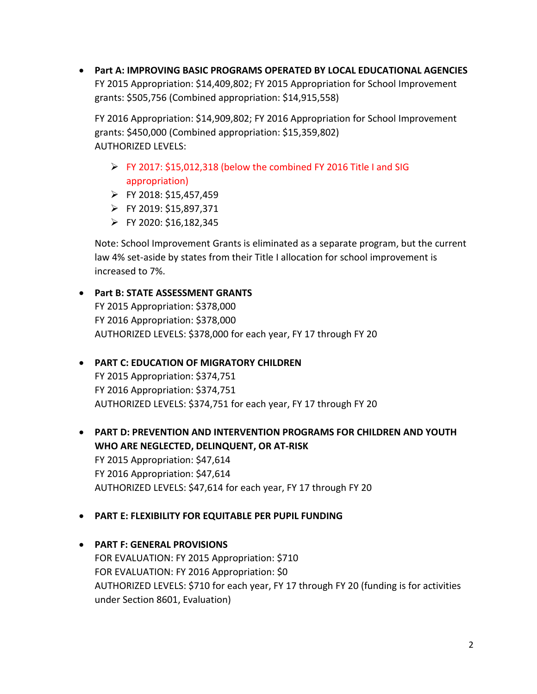**Part A: IMPROVING BASIC PROGRAMS OPERATED BY LOCAL EDUCATIONAL AGENCIES** FY 2015 Appropriation: \$14,409,802; FY 2015 Appropriation for School Improvement grants: \$505,756 (Combined appropriation: \$14,915,558)

FY 2016 Appropriation: \$14,909,802; FY 2016 Appropriation for School Improvement grants: \$450,000 (Combined appropriation: \$15,359,802) AUTHORIZED LEVELS:

- $\triangleright$  FY 2017: \$15,012,318 (below the combined FY 2016 Title I and SIG appropriation)
- $\triangleright$  FY 2018: \$15,457,459
- FY 2019: \$15,897,371
- $\triangleright$  FY 2020: \$16,182,345

Note: School Improvement Grants is eliminated as a separate program, but the current law 4% set-aside by states from their Title I allocation for school improvement is increased to 7%.

## **Part B: STATE ASSESSMENT GRANTS** FY 2015 Appropriation: \$378,000 FY 2016 Appropriation: \$378,000 AUTHORIZED LEVELS: \$378,000 for each year, FY 17 through FY 20

# **PART C: EDUCATION OF MIGRATORY CHILDREN** FY 2015 Appropriation: \$374,751 FY 2016 Appropriation: \$374,751 AUTHORIZED LEVELS: \$374,751 for each year, FY 17 through FY 20

 **PART D: PREVENTION AND INTERVENTION PROGRAMS FOR CHILDREN AND YOUTH WHO ARE NEGLECTED, DELINQUENT, OR AT-RISK** FY 2015 Appropriation: \$47,614 FY 2016 Appropriation: \$47,614 AUTHORIZED LEVELS: \$47,614 for each year, FY 17 through FY 20

### **PART E: FLEXIBILITY FOR EQUITABLE PER PUPIL FUNDING**

# **PART F: GENERAL PROVISIONS**

FOR EVALUATION: FY 2015 Appropriation: \$710 FOR EVALUATION: FY 2016 Appropriation: \$0 AUTHORIZED LEVELS: \$710 for each year, FY 17 through FY 20 (funding is for activities under Section 8601, Evaluation)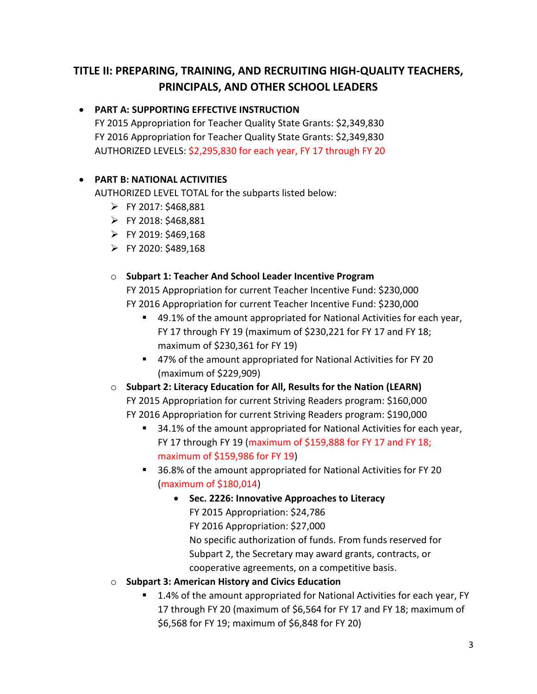# **TITLE II: PREPARING, TRAINING, AND RECRUITING HIGH-QUALITY TEACHERS, PRINCIPALS, AND OTHER SCHOOL LEADERS**

## **PART A: SUPPORTING EFFECTIVE INSTRUCTION**

FY 2015 Appropriation for Teacher Quality State Grants: \$2,349,830 FY 2016 Appropriation for Teacher Quality State Grants: \$2,349,830 AUTHORIZED LEVELS: \$2,295,830 for each year, FY 17 through FY 20

## **PART B: NATIONAL ACTIVITIES**

AUTHORIZED LEVEL TOTAL for the subparts listed below:

- $\triangleright$  FY 2017: \$468,881
- $\triangleright$  FY 2018: \$468,881
- $\triangleright$  FY 2019: \$469,168
- $\triangleright$  FY 2020: \$489,168

### o **Subpart 1: Teacher And School Leader Incentive Program**

FY 2015 Appropriation for current Teacher Incentive Fund: \$230,000 FY 2016 Appropriation for current Teacher Incentive Fund: \$230,000

- 49.1% of the amount appropriated for National Activities for each year, FY 17 through FY 19 (maximum of \$230,221 for FY 17 and FY 18; maximum of \$230,361 for FY 19)
- 47% of the amount appropriated for National Activities for FY 20 (maximum of \$229,909)
- o **Subpart 2: Literacy Education for All, Results for the Nation (LEARN)** FY 2015 Appropriation for current Striving Readers program: \$160,000 FY 2016 Appropriation for current Striving Readers program: \$190,000
	- 34.1% of the amount appropriated for National Activities for each year, FY 17 through FY 19 (maximum of \$159,888 for FY 17 and FY 18; maximum of \$159,986 for FY 19)
	- 36.8% of the amount appropriated for National Activities for FY 20 (maximum of \$180,014)
		- **Sec. 2226: Innovative Approaches to Literacy**  FY 2015 Appropriation: \$24,786 FY 2016 Appropriation: \$27,000 No specific authorization of funds. From funds reserved for Subpart 2, the Secretary may award grants, contracts, or cooperative agreements, on a competitive basis.
- o **Subpart 3: American History and Civics Education**
	- 1.4% of the amount appropriated for National Activities for each year, FY 17 through FY 20 (maximum of \$6,564 for FY 17 and FY 18; maximum of \$6,568 for FY 19; maximum of \$6,848 for FY 20)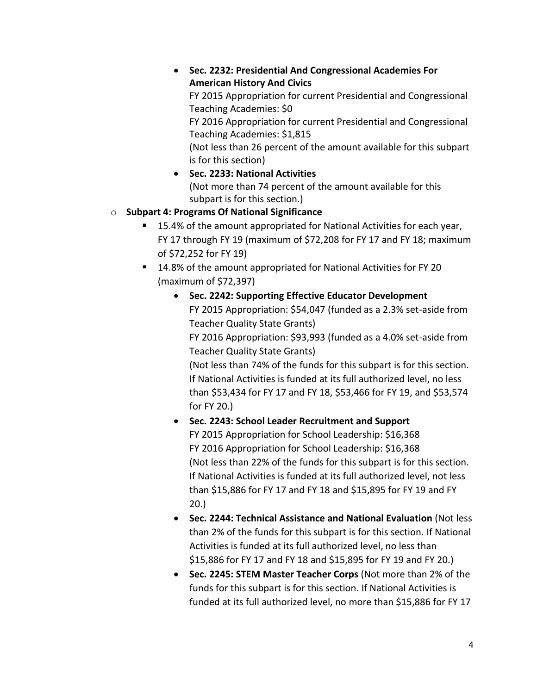**Sec. 2232: Presidential And Congressional Academies For American History And Civics**

FY 2015 Appropriation for current Presidential and Congressional Teaching Academies: \$0

FY 2016 Appropriation for current Presidential and Congressional Teaching Academies: \$1,815

(Not less than 26 percent of the amount available for this subpart is for this section)

 **Sec. 2233: National Activities** (Not more than 74 percent of the amount available for this subpart is for this section.)

# o **Subpart 4: Programs Of National Significance**

- 15.4% of the amount appropriated for National Activities for each year, FY 17 through FY 19 (maximum of \$72,208 for FY 17 and FY 18; maximum of \$72,252 for FY 19)
- 14.8% of the amount appropriated for National Activities for FY 20 (maximum of \$72,397)
	- **Sec. 2242: Supporting Effective Educator Development** FY 2015 Appropriation: \$54,047 (funded as a 2.3% set-aside from Teacher Quality State Grants) FY 2016 Appropriation: \$93,993 (funded as a 4.0% set-aside from Teacher Quality State Grants) (Not less than 74% of the funds for this subpart is for this section. If National Activities is funded at its full authorized level, no less

than \$53,434 for FY 17 and FY 18, \$53,466 for FY 19, and \$53,574 for FY 20.)

- **Sec. 2243: School Leader Recruitment and Support** FY 2015 Appropriation for School Leadership: \$16,368 FY 2016 Appropriation for School Leadership: \$16,368 (Not less than 22% of the funds for this subpart is for this section. If National Activities is funded at its full authorized level, not less than \$15,886 for FY 17 and FY 18 and \$15,895 for FY 19 and FY 20.)
- **Sec. 2244: Technical Assistance and National Evaluation** (Not less than 2% of the funds for this subpart is for this section. If National Activities is funded at its full authorized level, no less than \$15,886 for FY 17 and FY 18 and \$15,895 for FY 19 and FY 20.)
- **Sec. 2245: STEM Master Teacher Corps** (Not more than 2% of the funds for this subpart is for this section. If National Activities is funded at its full authorized level, no more than \$15,886 for FY 17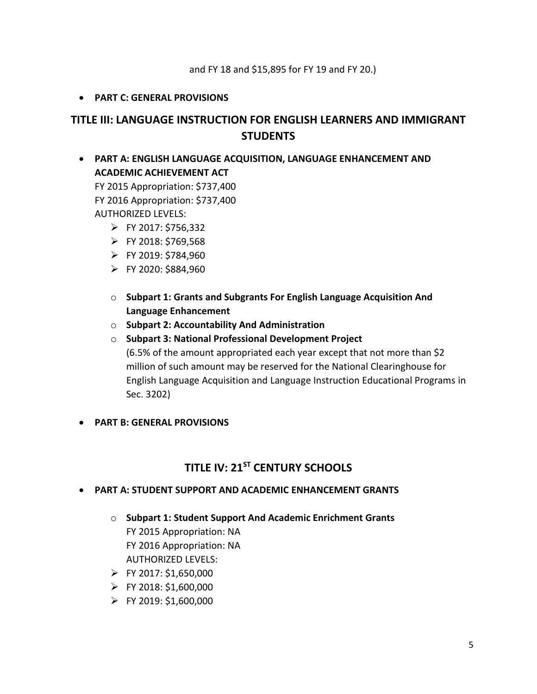### **PART C: GENERAL PROVISIONS**

# **TITLE III: LANGUAGE INSTRUCTION FOR ENGLISH LEARNERS AND IMMIGRANT STUDENTS**

 **PART A: ENGLISH LANGUAGE ACQUISITION, LANGUAGE ENHANCEMENT AND ACADEMIC ACHIEVEMENT ACT**

FY 2015 Appropriation: \$737,400 FY 2016 Appropriation: \$737,400 AUTHORIZED LEVELS:

- $\triangleright$  FY 2017: \$756,332
- $\triangleright$  FY 2018: \$769,568
- $\triangleright$  FY 2019: \$784,960
- $\triangleright$  FY 2020: \$884,960
- o **Subpart 1: Grants and Subgrants For English Language Acquisition And Language Enhancement**
- o **Subpart 2: Accountability And Administration**
- o **Subpart 3: National Professional Development Project** (6.5% of the amount appropriated each year except that not more than \$2 million of such amount may be reserved for the National Clearinghouse for English Language Acquisition and Language Instruction Educational Programs in Sec. 3202)
- **PART B: GENERAL PROVISIONS**

# **TITLE IV: 21ST CENTURY SCHOOLS**

- **PART A: STUDENT SUPPORT AND ACADEMIC ENHANCEMENT GRANTS**
	- o **Subpart 1: Student Support And Academic Enrichment Grants** FY 2015 Appropriation: NA FY 2016 Appropriation: NA AUTHORIZED LEVELS:
	- $\triangleright$  FY 2017: \$1,650,000
	- $\triangleright$  FY 2018: \$1,600,000
	- $\triangleright$  FY 2019: \$1,600,000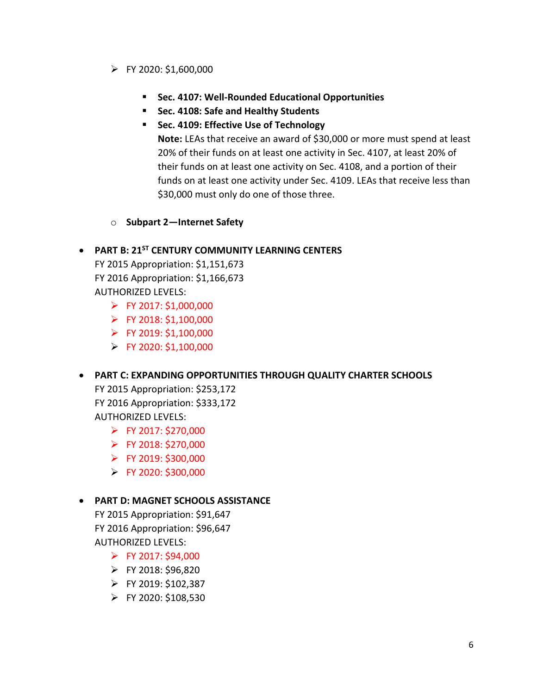- $\triangleright$  FY 2020: \$1,600,000
	- **Sec. 4107: Well-Rounded Educational Opportunities**
	- **Sec. 4108: Safe and Healthy Students**
	- **Sec. 4109: Effective Use of Technology**

**Note:** LEAs that receive an award of \$30,000 or more must spend at least 20% of their funds on at least one activity in Sec. 4107, at least 20% of their funds on at least one activity on Sec. 4108, and a portion of their funds on at least one activity under Sec. 4109. LEAs that receive less than \$30,000 must only do one of those three.

o **Subpart 2—Internet Safety**

### **PART B: 21ST CENTURY COMMUNITY LEARNING CENTERS**

FY 2015 Appropriation: \$1,151,673 FY 2016 Appropriation: \$1,166,673 AUTHORIZED LEVELS:

- $\triangleright$  FY 2017: \$1,000,000
- $\triangleright$  FY 2018: \$1,100,000
- $\triangleright$  FY 2019: \$1,100,000
- $\triangleright$  FY 2020: \$1,100,000

#### **PART C: EXPANDING OPPORTUNITIES THROUGH QUALITY CHARTER SCHOOLS**

FY 2015 Appropriation: \$253,172 FY 2016 Appropriation: \$333,172 AUTHORIZED LEVELS:

- $\triangleright$  FY 2017: \$270,000
- $\triangleright$  FY 2018: \$270,000
- $\triangleright$  FY 2019: \$300,000
- $\triangleright$  FY 2020: \$300,000

#### **PART D: MAGNET SCHOOLS ASSISTANCE**

FY 2015 Appropriation: \$91,647 FY 2016 Appropriation: \$96,647 AUTHORIZED LEVELS:

- $\triangleright$  FY 2017: \$94,000
- $\triangleright$  FY 2018: \$96,820
- $\triangleright$  FY 2019: \$102,387
- $\triangleright$  FY 2020: \$108,530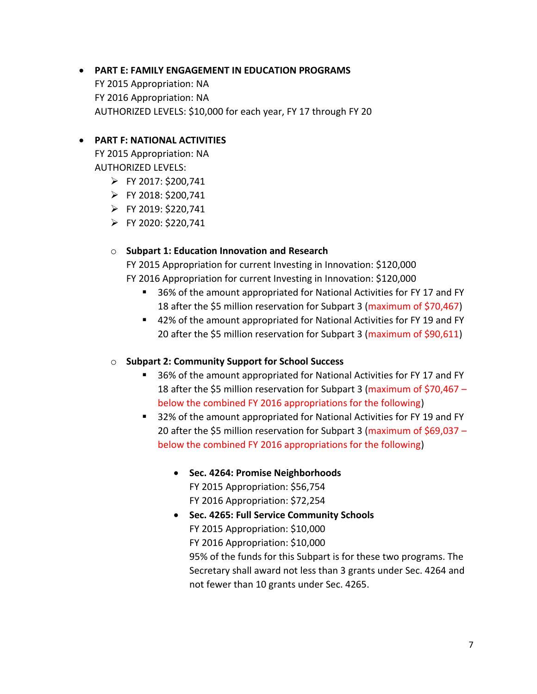# **PART E: FAMILY ENGAGEMENT IN EDUCATION PROGRAMS**

FY 2015 Appropriation: NA FY 2016 Appropriation: NA AUTHORIZED LEVELS: \$10,000 for each year, FY 17 through FY 20

### **PART F: NATIONAL ACTIVITIES**

FY 2015 Appropriation: NA AUTHORIZED LEVELS:

- $\triangleright$  FY 2017: \$200,741
- $\triangleright$  FY 2018: \$200,741
- $\triangleright$  FY 2019: \$220,741
- $\triangleright$  FY 2020: \$220,741

#### o **Subpart 1: Education Innovation and Research**

FY 2015 Appropriation for current Investing in Innovation: \$120,000 FY 2016 Appropriation for current Investing in Innovation: \$120,000

- 36% of the amount appropriated for National Activities for FY 17 and FY 18 after the \$5 million reservation for Subpart 3 (maximum of \$70,467)
- 42% of the amount appropriated for National Activities for FY 19 and FY 20 after the \$5 million reservation for Subpart 3 (maximum of \$90,611)

#### o **Subpart 2: Community Support for School Success**

- 36% of the amount appropriated for National Activities for FY 17 and FY 18 after the \$5 million reservation for Subpart 3 (maximum of \$70,467 – below the combined FY 2016 appropriations for the following)
- 32% of the amount appropriated for National Activities for FY 19 and FY 20 after the \$5 million reservation for Subpart 3 (maximum of \$69,037 – below the combined FY 2016 appropriations for the following)
	- **Sec. 4264: Promise Neighborhoods** FY 2015 Appropriation: \$56,754 FY 2016 Appropriation: \$72,254
	- **Sec. 4265: Full Service Community Schools** FY 2015 Appropriation: \$10,000 FY 2016 Appropriation: \$10,000 95% of the funds for this Subpart is for these two programs. The Secretary shall award not less than 3 grants under Sec. 4264 and not fewer than 10 grants under Sec. 4265.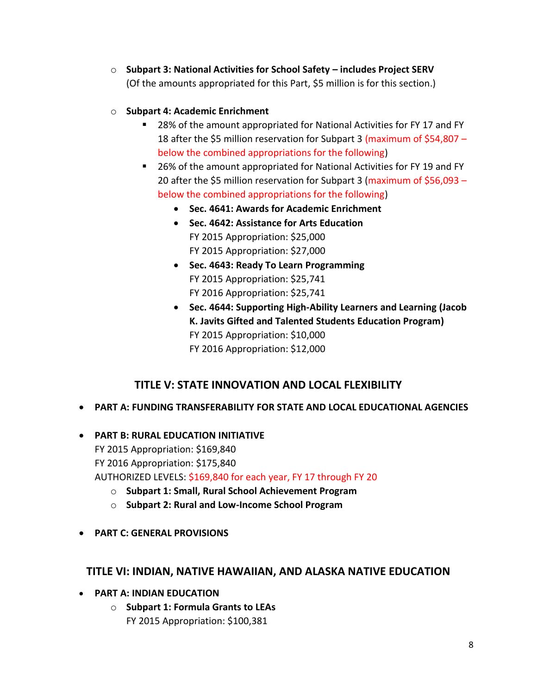- o **Subpart 3: National Activities for School Safety – includes Project SERV**  (Of the amounts appropriated for this Part, \$5 million is for this section.)
- o **Subpart 4: Academic Enrichment**
	- 28% of the amount appropriated for National Activities for FY 17 and FY 18 after the \$5 million reservation for Subpart 3 (maximum of \$54,807 – below the combined appropriations for the following)
	- 26% of the amount appropriated for National Activities for FY 19 and FY 20 after the \$5 million reservation for Subpart 3 (maximum of \$56,093 – below the combined appropriations for the following)
		- **Sec. 4641: Awards for Academic Enrichment**
		- **Sec. 4642: Assistance for Arts Education** FY 2015 Appropriation: \$25,000 FY 2015 Appropriation: \$27,000
		- **Sec. 4643: Ready To Learn Programming** FY 2015 Appropriation: \$25,741 FY 2016 Appropriation: \$25,741
		- **Sec. 4644: Supporting High-Ability Learners and Learning (Jacob K. Javits Gifted and Talented Students Education Program)** FY 2015 Appropriation: \$10,000 FY 2016 Appropriation: \$12,000

# **TITLE V: STATE INNOVATION AND LOCAL FLEXIBILITY**

- **PART A: FUNDING TRANSFERABILITY FOR STATE AND LOCAL EDUCATIONAL AGENCIES**
- **PART B: RURAL EDUCATION INITIATIVE** FY 2015 Appropriation: \$169,840 FY 2016 Appropriation: \$175,840 AUTHORIZED LEVELS: \$169,840 for each year, FY 17 through FY 20
	- o **Subpart 1: Small, Rural School Achievement Program**
	- o **Subpart 2: Rural and Low-Income School Program**
- **PART C: GENERAL PROVISIONS**

## **TITLE VI: INDIAN, NATIVE HAWAIIAN, AND ALASKA NATIVE EDUCATION**

- **PART A: INDIAN EDUCATION**
	- o **Subpart 1: Formula Grants to LEAs** FY 2015 Appropriation: \$100,381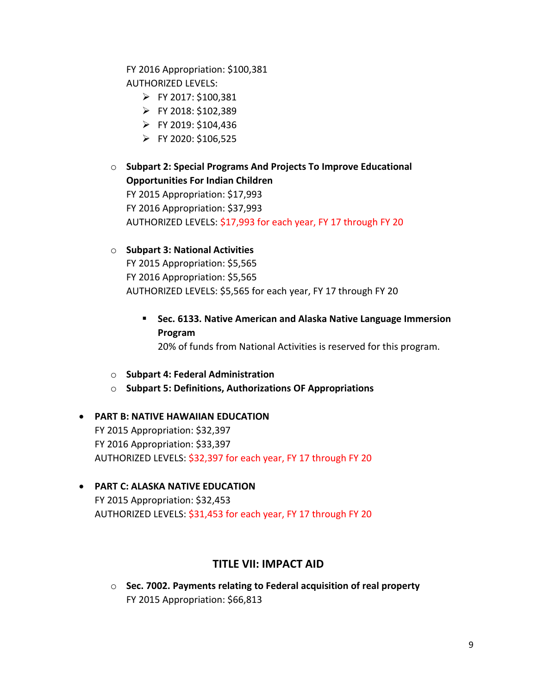FY 2016 Appropriation: \$100,381 AUTHORIZED LEVELS:

- $\triangleright$  FY 2017: \$100.381
- $\triangleright$  FY 2018: \$102,389
- FY 2019: \$104,436
- $\triangleright$  FY 2020: \$106,525
- o **Subpart 2: Special Programs And Projects To Improve Educational Opportunities For Indian Children** FY 2015 Appropriation: \$17,993 FY 2016 Appropriation: \$37,993 AUTHORIZED LEVELS: \$17,993 for each year, FY 17 through FY 20
- o **Subpart 3: National Activities** FY 2015 Appropriation: \$5,565 FY 2016 Appropriation: \$5,565 AUTHORIZED LEVELS: \$5,565 for each year, FY 17 through FY 20
	- **Sec. 6133. Native American and Alaska Native Language Immersion Program**

20% of funds from National Activities is reserved for this program.

- o **Subpart 4: Federal Administration**
- o **Subpart 5: Definitions, Authorizations OF Appropriations**
- **PART B: NATIVE HAWAIIAN EDUCATION** FY 2015 Appropriation: \$32,397 FY 2016 Appropriation: \$33,397 AUTHORIZED LEVELS: \$32,397 for each year, FY 17 through FY 20
- **PART C: ALASKA NATIVE EDUCATION** FY 2015 Appropriation: \$32,453 AUTHORIZED LEVELS: \$31,453 for each year, FY 17 through FY 20

## **TITLE VII: IMPACT AID**

o **Sec. 7002. Payments relating to Federal acquisition of real property** FY 2015 Appropriation: \$66,813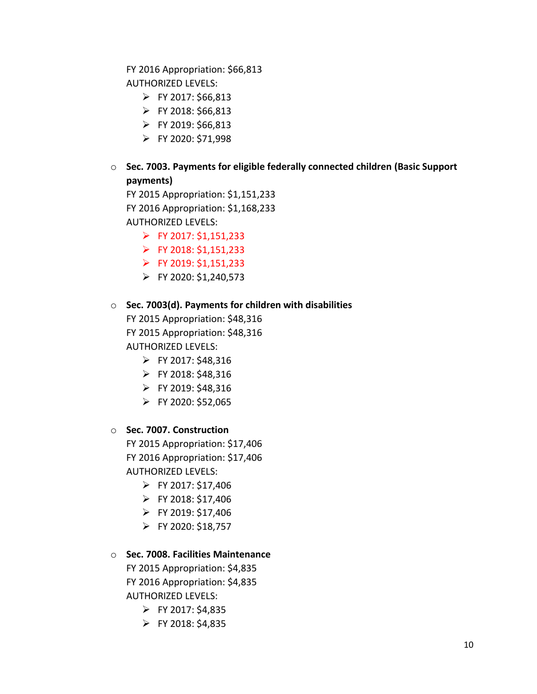FY 2016 Appropriation: \$66,813 AUTHORIZED LEVELS:

- $\triangleright$  FY 2017: \$66,813
- $\triangleright$  FY 2018: \$66,813
- FY 2019: \$66,813
- $\triangleright$  FY 2020: \$71,998

## o **Sec. 7003. Payments for eligible federally connected children (Basic Support payments)**

FY 2015 Appropriation: \$1,151,233 FY 2016 Appropriation: \$1,168,233 AUTHORIZED LEVELS:

- $\triangleright$  FY 2017: \$1,151,233
- $\triangleright$  FY 2018: \$1,151,233
- $\triangleright$  FY 2019: \$1,151,233
- $\triangleright$  FY 2020: \$1,240,573

#### o **Sec. 7003(d). Payments for children with disabilities**

FY 2015 Appropriation: \$48,316 FY 2015 Appropriation: \$48,316 AUTHORIZED LEVELS:

- $\triangleright$  FY 2017: \$48,316
- $\triangleright$  FY 2018: \$48,316
- $\triangleright$  FY 2019: \$48,316
- $\triangleright$  FY 2020: \$52,065

#### o **Sec. 7007. Construction**

FY 2015 Appropriation: \$17,406 FY 2016 Appropriation: \$17,406 AUTHORIZED LEVELS:

- $\triangleright$  FY 2017: \$17,406
- $\triangleright$  FY 2018: \$17,406
- $\triangleright$  FY 2019: \$17,406
- $\triangleright$  FY 2020: \$18,757

### o **Sec. 7008. Facilities Maintenance**

FY 2015 Appropriation: \$4,835 FY 2016 Appropriation: \$4,835 AUTHORIZED LEVELS:

- $\triangleright$  FY 2017: \$4,835
- $\triangleright$  FY 2018: \$4,835